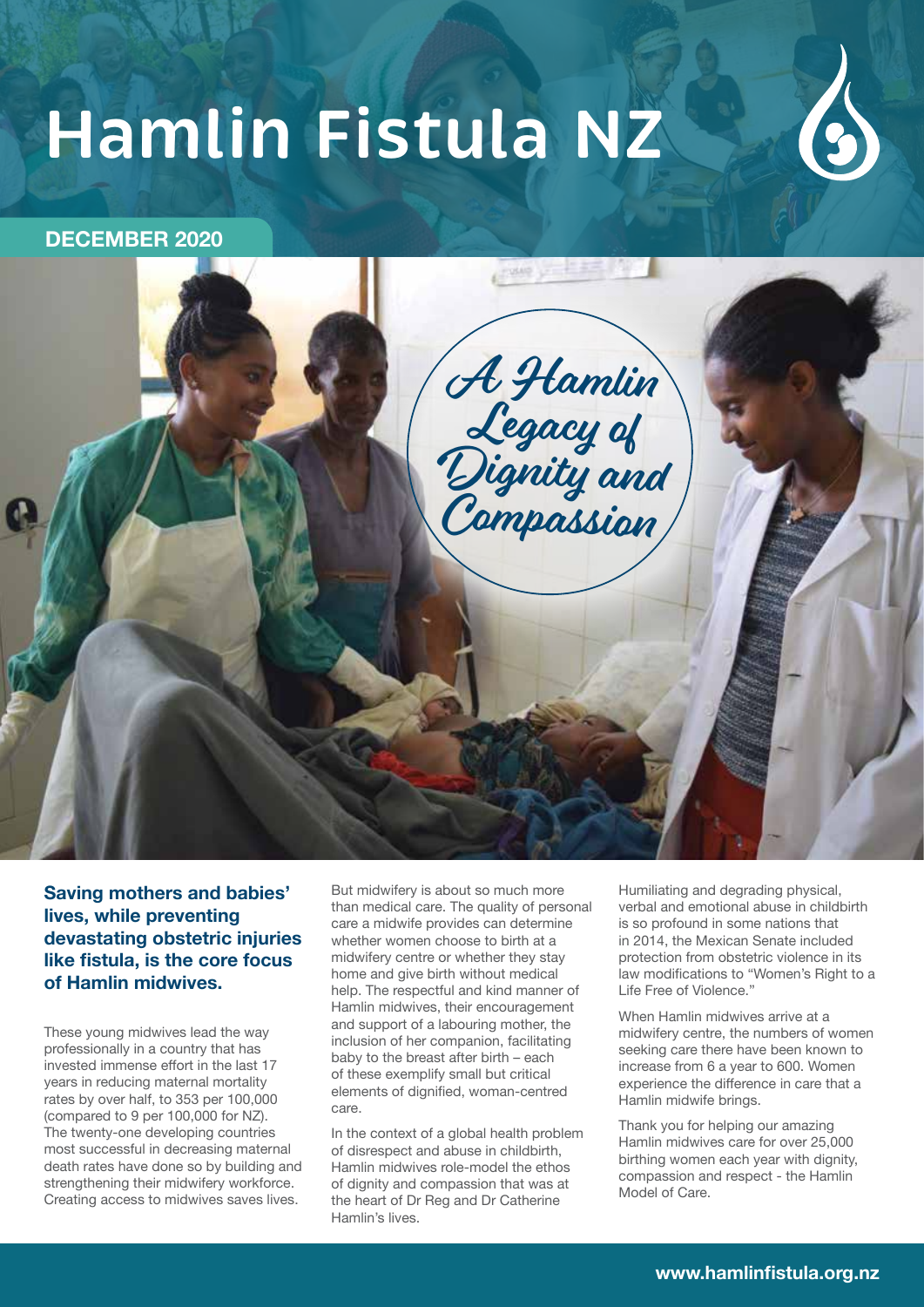# **Hamlin Fistula NZ**



# **DECEMBER 2020**



**Saving mothers and babies' lives, while preventing devastating obstetric injuries like fistula, is the core focus of Hamlin midwives.**

These young midwives lead the way professionally in a country that has invested immense effort in the last 17 years in reducing maternal mortality rates by over half, to 353 per 100,000 (compared to 9 per 100,000 for NZ). The twenty-one developing countries most successful in decreasing maternal death rates have done so by building and strengthening their midwifery workforce. Creating access to midwives saves lives.

But midwifery is about so much more than medical care. The quality of personal care a midwife provides can determine whether women choose to birth at a midwifery centre or whether they stay home and give birth without medical help. The respectful and kind manner of Hamlin midwives, their encouragement and support of a labouring mother, the inclusion of her companion, facilitating baby to the breast after birth – each of these exemplify small but critical elements of dignified, woman-centred care.

In the context of a global health problem of disrespect and abuse in childbirth, Hamlin midwives role-model the ethos of dignity and compassion that was at the heart of Dr Reg and Dr Catherine Hamlin's lives.

Humiliating and degrading physical, verbal and emotional abuse in childbirth is so profound in some nations that in 2014, the Mexican Senate included protection from obstetric violence in its law modifications to "Women's Right to a Life Free of Violence."

When Hamlin midwives arrive at a midwifery centre, the numbers of women seeking care there have been known to increase from 6 a year to 600. Women experience the difference in care that a Hamlin midwife brings.

Thank you for helping our amazing Hamlin midwives care for over 25,000 birthing women each year with dignity, compassion and respect - the Hamlin Model of Care.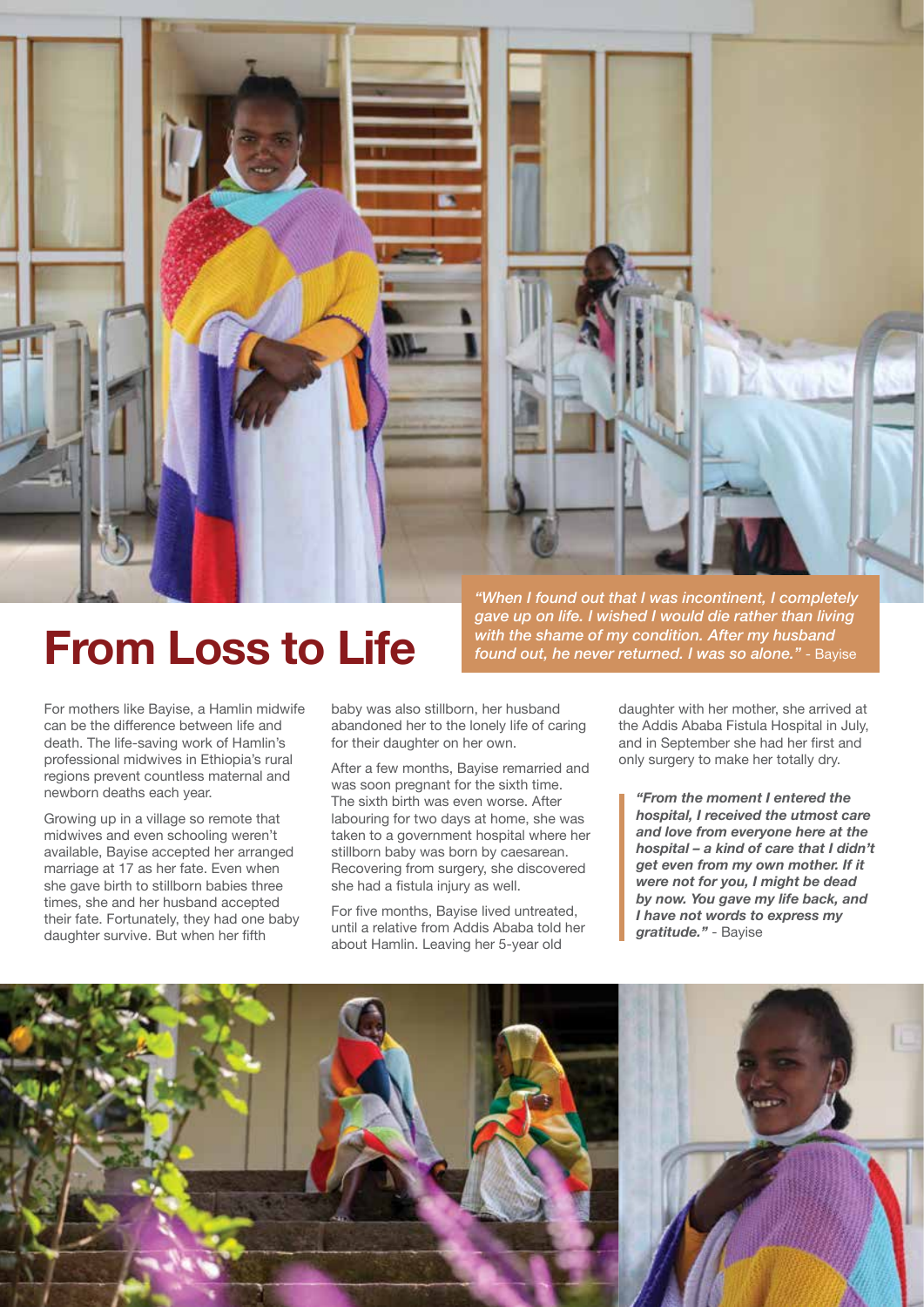

*"When I found out that I was incontinent, I completely gave up on life. I wished I would die rather than living*  **From Loss to Life** *if with the shame of my condition. After my husband found out, he never returned. I was so alone."* - Bayise

For mothers like Bayise, a Hamlin midwife can be the difference between life and death. The life-saving work of Hamlin's professional midwives in Ethiopia's rural regions prevent countless maternal and newborn deaths each year.

Growing up in a village so remote that midwives and even schooling weren't available, Bayise accepted her arranged marriage at 17 as her fate. Even when she gave birth to stillborn babies three times, she and her husband accepted their fate. Fortunately, they had one baby daughter survive. But when her fifth

baby was also stillborn, her husband abandoned her to the lonely life of caring for their daughter on her own.

After a few months, Bayise remarried and was soon pregnant for the sixth time. The sixth birth was even worse. After labouring for two days at home, she was taken to a government hospital where her stillborn baby was born by caesarean. Recovering from surgery, she discovered she had a fistula injury as well.

For five months, Bayise lived untreated, until a relative from Addis Ababa told her about Hamlin. Leaving her 5-year old

daughter with her mother, she arrived at the Addis Ababa Fistula Hospital in July, and in September she had her first and only surgery to make her totally dry.

*"From the moment I entered the hospital, I received the utmost care and love from everyone here at the hospital – a kind of care that I didn't get even from my own mother. If it were not for you, I might be dead by now. You gave my life back, and I have not words to express my gratitude."* - Bayise

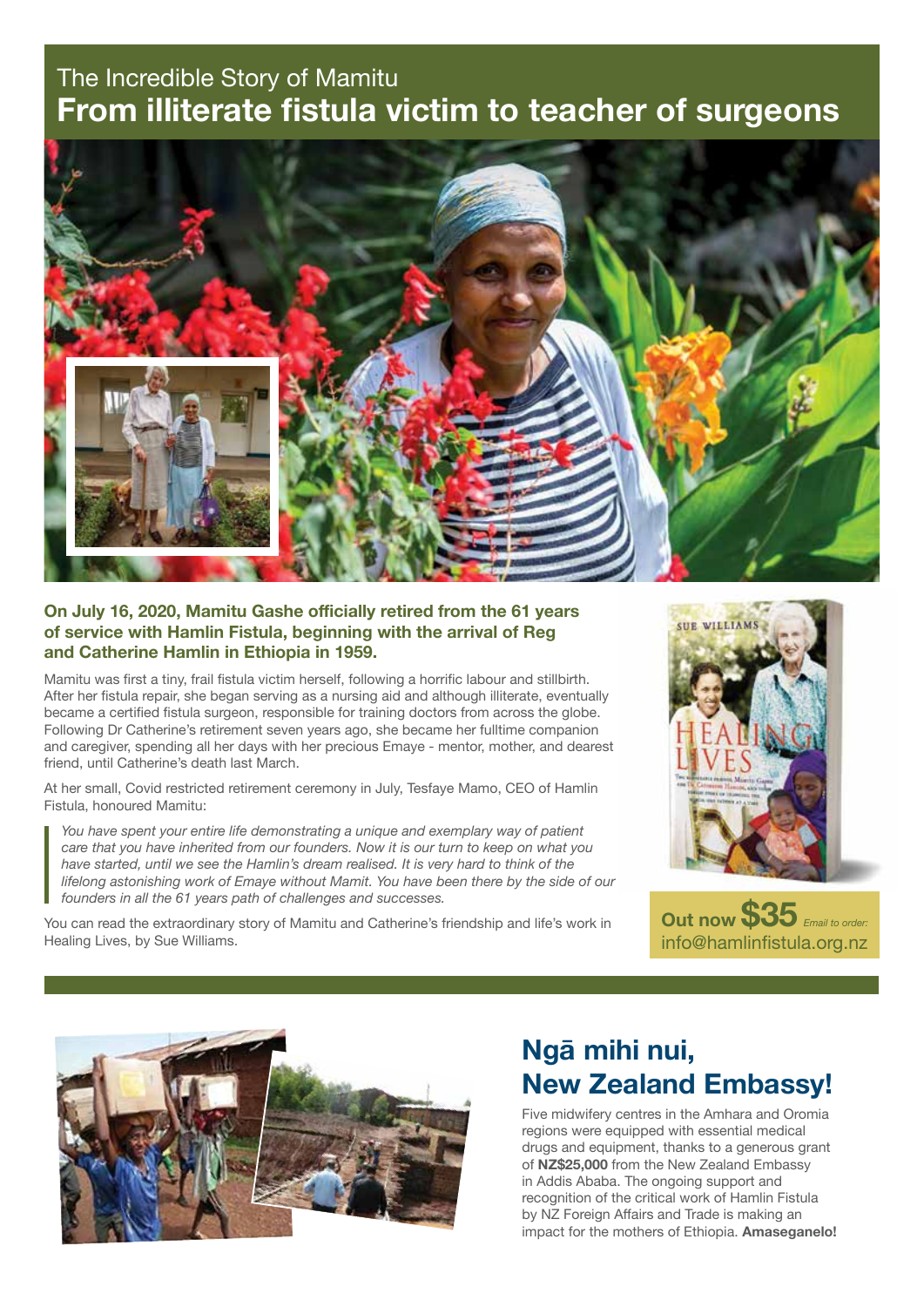# The Incredible Story of Mamitu **From illiterate fistula victim to teacher of surgeons**



## **On July 16, 2020, Mamitu Gashe officially retired from the 61 years of service with Hamlin Fistula, beginning with the arrival of Reg and Catherine Hamlin in Ethiopia in 1959.**

Mamitu was first a tiny, frail fistula victim herself, following a horrific labour and stillbirth. After her fistula repair, she began serving as a nursing aid and although illiterate, eventually became a certified fistula surgeon, responsible for training doctors from across the globe. Following Dr Catherine's retirement seven years ago, she became her fulltime companion and caregiver, spending all her days with her precious Emaye - mentor, mother, and dearest friend, until Catherine's death last March.

At her small, Covid restricted retirement ceremony in July, Tesfaye Mamo, CEO of Hamlin Fistula, honoured Mamitu:

*You have spent your entire life demonstrating a unique and exemplary way of patient care that you have inherited from our founders. Now it is our turn to keep on what you have started, until we see the Hamlin's dream realised. It is very hard to think of the lifelong astonishing work of Emaye without Mamit. You have been there by the side of our founders in all the 61 years path of challenges and successes.*

You can read the extraordinary story of Mamitu and Catherine's friendship and life's work in Healing Lives, by Sue Williams.







# **Ngā mihi nui, New Zealand Embassy!**

Five midwifery centres in the Amhara and Oromia regions were equipped with essential medical drugs and equipment, thanks to a generous grant of **NZ\$25,000** from the New Zealand Embassy in Addis Ababa. The ongoing support and recognition of the critical work of Hamlin Fistula by NZ Foreign Affairs and Trade is making an impact for the mothers of Ethiopia. **Amaseganelo!**